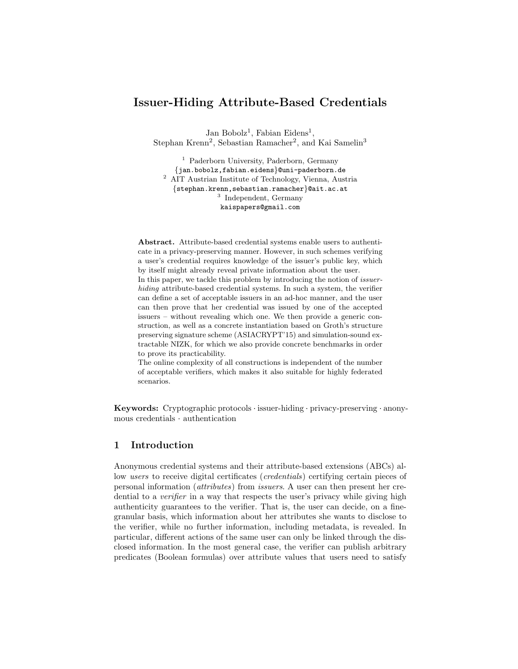# Issuer-Hiding Attribute-Based Credentials

Jan Bobolz<sup>1</sup>, Fabian Eidens<sup>1</sup>, Stephan Krenn<sup>2</sup>, Sebastian Ramacher<sup>2</sup>, and Kai Samelin<sup>3</sup>

<sup>1</sup> Paderborn University, Paderborn, Germany {jan.bobolz,fabian.eidens}@uni-paderborn.de <sup>2</sup> AIT Austrian Institute of Technology, Vienna, Austria {stephan.krenn,sebastian.ramacher}@ait.ac.at 3 Independent, Germany kaispapers@gmail.com

Abstract. Attribute-based credential systems enable users to authenticate in a privacy-preserving manner. However, in such schemes verifying a user's credential requires knowledge of the issuer's public key, which by itself might already reveal private information about the user. In this paper, we tackle this problem by introducing the notion of issuerhiding attribute-based credential systems. In such a system, the verifier can define a set of acceptable issuers in an ad-hoc manner, and the user can then prove that her credential was issued by one of the accepted issuers – without revealing which one. We then provide a generic construction, as well as a concrete instantiation based on Groth's structure preserving signature scheme (ASIACRYPT'15) and simulation-sound extractable NIZK, for which we also provide concrete benchmarks in order to prove its practicability.

The online complexity of all constructions is independent of the number of acceptable verifiers, which makes it also suitable for highly federated scenarios.

Keywords: Cryptographic protocols · issuer-hiding · privacy-preserving · anony-**Keywords:** Cryptographic proto<br>mous credentials authentication

# <span id="page-0-0"></span>1 Introduction

Anonymous credential systems and their attribute-based extensions (ABCs) allow users to receive digital certificates (*credentials*) certifying certain pieces of personal information (attributes) from issuers. A user can then present her credential to a *verifier* in a way that respects the user's privacy while giving high authenticity guarantees to the verifier. That is, the user can decide, on a finegranular basis, which information about her attributes she wants to disclose to the verifier, while no further information, including metadata, is revealed. In particular, different actions of the same user can only be linked through the disclosed information. In the most general case, the verifier can publish arbitrary predicates (Boolean formulas) over attribute values that users need to satisfy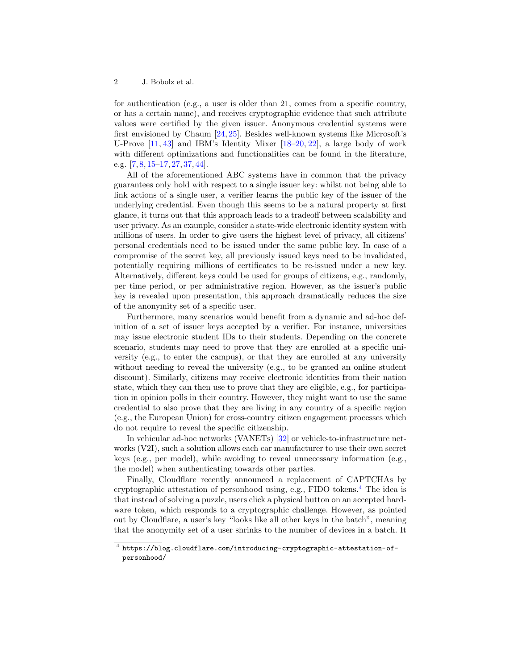for authentication (e.g., a user is older than 21, comes from a specific country, or has a certain name), and receives cryptographic evidence that such attribute values were certified by the given issuer. Anonymous credential systems were first envisioned by Chaum [\[24,](#page-20-0) [25\]](#page-20-1). Besides well-known systems like Microsoft's U-Prove [\[11,](#page-19-0) [43\]](#page-21-0) and IBM's Identity Mixer [\[18](#page-19-1)[–20,](#page-20-2) [22\]](#page-20-3), a large body of work with different optimizations and functionalities can be found in the literature, e.g. [\[7,](#page-19-2) [8,](#page-19-3) [15–](#page-19-4)[17,](#page-19-5) [27,](#page-20-4) [37,](#page-21-1) [44\]](#page-21-2).

All of the aforementioned ABC systems have in common that the privacy guarantees only hold with respect to a single issuer key: whilst not being able to link actions of a single user, a verifier learns the public key of the issuer of the underlying credential. Even though this seems to be a natural property at first glance, it turns out that this approach leads to a tradeoff between scalability and user privacy. As an example, consider a state-wide electronic identity system with millions of users. In order to give users the highest level of privacy, all citizens' personal credentials need to be issued under the same public key. In case of a compromise of the secret key, all previously issued keys need to be invalidated, potentially requiring millions of certificates to be re-issued under a new key. Alternatively, different keys could be used for groups of citizens, e.g., randomly, per time period, or per administrative region. However, as the issuer's public key is revealed upon presentation, this approach dramatically reduces the size of the anonymity set of a specific user.

Furthermore, many scenarios would benefit from a dynamic and ad-hoc definition of a set of issuer keys accepted by a verifier. For instance, universities may issue electronic student IDs to their students. Depending on the concrete scenario, students may need to prove that they are enrolled at a specific university (e.g., to enter the campus), or that they are enrolled at any university without needing to reveal the university (e.g., to be granted an online student discount). Similarly, citizens may receive electronic identities from their nation state, which they can then use to prove that they are eligible, e.g., for participation in opinion polls in their country. However, they might want to use the same credential to also prove that they are living in any country of a specific region (e.g., the European Union) for cross-country citizen engagement processes which do not require to reveal the specific citizenship.

In vehicular ad-hoc networks (VANETs) [\[32\]](#page-20-5) or vehicle-to-infrastructure networks (V2I), such a solution allows each car manufacturer to use their own secret keys (e.g., per model), while avoiding to reveal unnecessary information (e.g., the model) when authenticating towards other parties.

Finally, Cloudflare recently announced a replacement of CAPTCHAs by cryptographic attestation of personhood using, e.g., FIDO tokens.<sup>[4](#page-1-0)</sup> The idea is that instead of solving a puzzle, users click a physical button on an accepted hardware token, which responds to a cryptographic challenge. However, as pointed out by Cloudflare, a user's key "looks like all other keys in the batch", meaning that the anonymity set of a user shrinks to the number of devices in a batch. It

<span id="page-1-0"></span><sup>4</sup> [https://blog.cloudflare.com/introducing-cryptographic-attestation-of](https://blog.cloudflare.com/introducing-cryptographic-attestation-of-personhood/)[personhood/](https://blog.cloudflare.com/introducing-cryptographic-attestation-of-personhood/)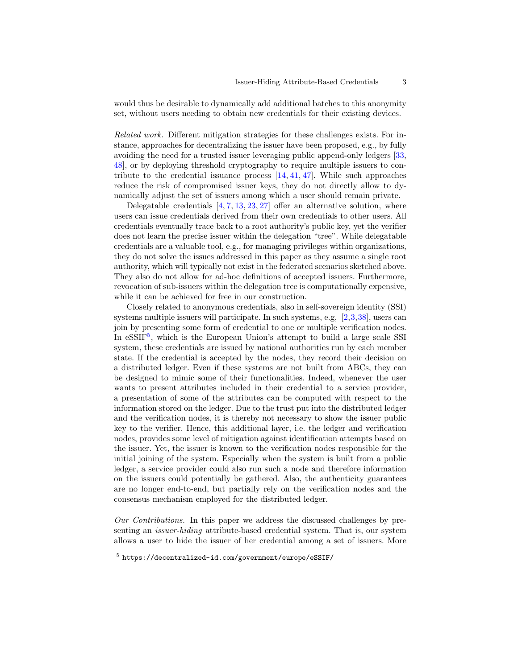would thus be desirable to dynamically add additional batches to this anonymity set, without users needing to obtain new credentials for their existing devices.

Related work. Different mitigation strategies for these challenges exists. For instance, approaches for decentralizing the issuer have been proposed, e.g., by fully avoiding the need for a trusted issuer leveraging public append-only ledgers [\[33,](#page-20-6) [48\]](#page-21-3), or by deploying threshold cryptography to require multiple issuers to contribute to the credential issuance process [\[14,](#page-19-6) [41,](#page-21-4) [47\]](#page-21-5). While such approaches reduce the risk of compromised issuer keys, they do not directly allow to dynamically adjust the set of issuers among which a user should remain private.

Delegatable credentials  $[4, 7, 13, 23, 27]$  $[4, 7, 13, 23, 27]$  $[4, 7, 13, 23, 27]$  $[4, 7, 13, 23, 27]$  $[4, 7, 13, 23, 27]$  $[4, 7, 13, 23, 27]$  $[4, 7, 13, 23, 27]$  $[4, 7, 13, 23, 27]$  $[4, 7, 13, 23, 27]$  offer an alternative solution, where users can issue credentials derived from their own credentials to other users. All credentials eventually trace back to a root authority's public key, yet the verifier does not learn the precise issuer within the delegation "tree". While delegatable credentials are a valuable tool, e.g., for managing privileges within organizations, they do not solve the issues addressed in this paper as they assume a single root authority, which will typically not exist in the federated scenarios sketched above. They also do not allow for ad-hoc definitions of accepted issuers. Furthermore, revocation of sub-issuers within the delegation tree is computationally expensive, while it can be achieved for free in our construction.

Closely related to anonymous credentials, also in self-sovereign identity (SSI) systems multiple issuers will participate. In such systems, e.g, [\[2,](#page-19-9)[3,](#page-19-10)[38\]](#page-21-6), users can join by presenting some form of credential to one or multiple verification nodes. In eSSIF<sup>[5](#page-2-0)</sup>, which is the European Union's attempt to build a large scale SSI system, these credentials are issued by national authorities run by each member state. If the credential is accepted by the nodes, they record their decision on a distributed ledger. Even if these systems are not built from ABCs, they can be designed to mimic some of their functionalities. Indeed, whenever the user wants to present attributes included in their credential to a service provider, a presentation of some of the attributes can be computed with respect to the information stored on the ledger. Due to the trust put into the distributed ledger and the verification nodes, it is thereby not necessary to show the issuer public key to the verifier. Hence, this additional layer, i.e. the ledger and verification nodes, provides some level of mitigation against identification attempts based on the issuer. Yet, the issuer is known to the verification nodes responsible for the initial joining of the system. Especially when the system is built from a public ledger, a service provider could also run such a node and therefore information on the issuers could potentially be gathered. Also, the authenticity guarantees are no longer end-to-end, but partially rely on the verification nodes and the consensus mechanism employed for the distributed ledger.

<span id="page-2-1"></span>Our Contributions. In this paper we address the discussed challenges by presenting an *issuer-hiding* attribute-based credential system. That is, our system allows a user to hide the issuer of her credential among a set of issuers. More

<span id="page-2-0"></span><sup>5</sup> <https://decentralized-id.com/government/europe/eSSIF/>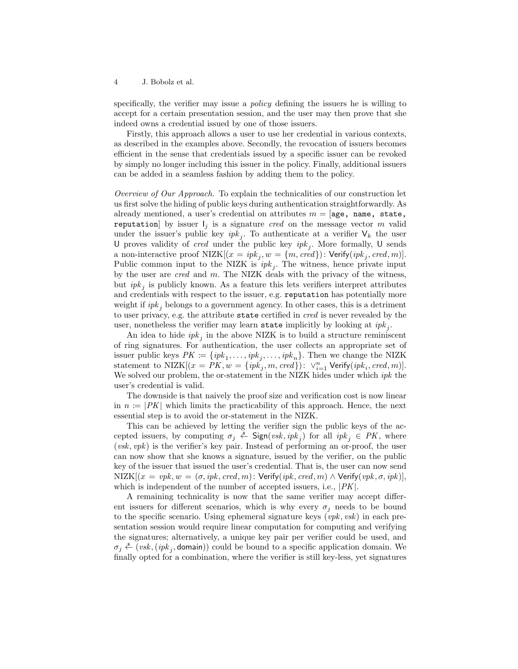specifically, the verifier may issue a *policy* defining the issuers he is willing to accept for a certain presentation session, and the user may then prove that she indeed owns a credential issued by one of those issuers.

Firstly, this approach allows a user to use her credential in various contexts, as described in the examples above. Secondly, the revocation of issuers becomes efficient in the sense that credentials issued by a specific issuer can be revoked by simply no longer including this issuer in the policy. Finally, additional issuers can be added in a seamless fashion by adding them to the policy.

Overview of Our Approach. To explain the technicalities of our construction let us first solve the hiding of public keys during authentication straightforwardly. As already mentioned, a user's credential on attributes  $m = [\text{age}, \text{name}, \text{state},$ reputation] by issuer  $I_i$  is a signature cred on the message vector m valid under the issuer's public key  $ipk_j$ . To authenticate at a verifier  $V_k$  the user U proves validity of *cred* under the public key  $ipk_j$ . More formally, U sends a non-interactive proof NIZK $[(x = ipk_j, w = \{m, cred\}) : \text{Verify}(ipk_j, cred, m)].$ Public common input to the NIZK is  $ipk_j$ . The witness, hence private input by the user are cred and m. The NIZK deals with the privacy of the witness, but  $ipk_j$  is publicly known. As a feature this lets verifiers interpret attributes and credentials with respect to the issuer, e.g. reputation has potentially more weight if  $ipk_j$  belongs to a government agency. In other cases, this is a detriment to user privacy, e.g. the attribute state certified in cred is never revealed by the user, nonetheless the verifier may learn state implicitly by looking at  $ipk_j$ .

An idea to hide  $ipk_j$  in the above NIZK is to build a structure reminiscent of ring signatures. For authentication, the user collects an appropriate set of issuer public keys  $PK \coloneqq \{ipk_1, \ldots, ipk_j, \ldots, ipk_n\}$ . Then we change the NIZK statement to NIZK $[(x = PK, w = \{ipk_j^{'}, m, cred\}) \colon \vee_{i=1}^{n}$  Verify $(ipk_i, cred, m)].$ We solved our problem, the or-statement in the NIZK hides under which *ipk* the user's credential is valid.

The downside is that naively the proof size and verification cost is now linear in  $n := |PK|$  which limits the practicability of this approach. Hence, the next essential step is to avoid the or-statement in the NIZK.

This can be achieved by letting the verifier sign the public keys of the accepted issuers, by computing  $\sigma_j \stackrel{\hspace{0.1em}\mathsf{\scriptscriptstyle\$}}{\leftarrow}$  Sign $(vsk, ipk_j)$  for all  $ipk_j \in PK$ , where  $(vsk, vpk)$  is the verifier's key pair. Instead of performing an or-proof, the user can now show that she knows a signature, issued by the verifier, on the public key of the issuer that issued the user's credential. That is, the user can now send  $NIZK[(x = vpk, w = (\sigma, ipk, cred, m): Verify(ipk, cred, m) \wedge Verify(vpk, \sigma, ipk)],$ which is independent of the number of accepted issuers, i.e.,  $|PK|$ .

A remaining technicality is now that the same verifier may accept different issuers for different scenarios, which is why every  $\sigma_i$  needs to be bound to the specific scenario. Using ephemeral signature keys  $(vpk, vsk)$  in each presentation session would require linear computation for computing and verifying the signatures; alternatively, a unique key pair per verifier could be used, and  $\sigma_j \triangleq (vsk, (ipk_j, \text{domain}))$  could be bound to a specific application domain. We finally opted for a combination, where the verifier is still key-less, yet signatures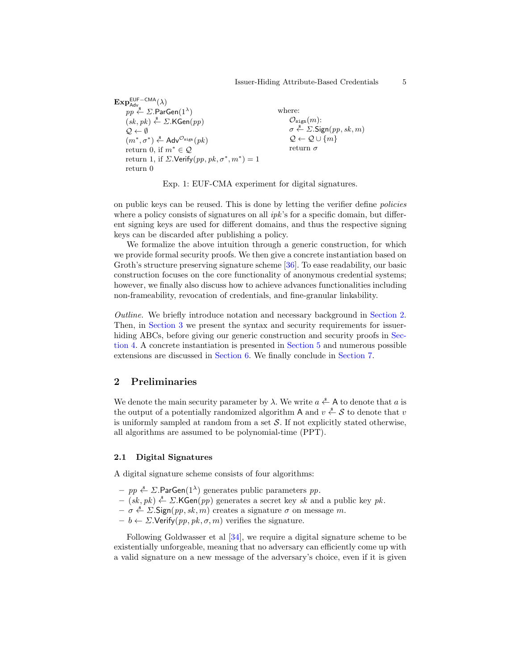<span id="page-4-1"></span> $\mathrm{Exp}^{\mathsf{EUF-CMA}}_{\mathsf{Adv}}(\lambda)$  $pp \stackrel{\hspace{0.1em}\mathsf{\scriptscriptstyle\$}}{\leftarrow} \Sigma.\mathsf{ParGen}(1^\lambda)$  $(sk, pk) \stackrel{\$}{\leftarrow} \Sigma$ .KGen $(pp)$  $\mathcal{Q} \leftarrow \emptyset$  $(m^*, \sigma^*) \stackrel{\$}{\leftarrow} \mathsf{Adv}^{\mathcal{O}_{\text{sign}}}(pk)$ return 0, if  $m^* \in \mathcal{Q}$ return 1, if  $\Sigma$ . Verify $(pp, pk, \sigma^*, m^*) = 1$ return 0 where:  $\mathcal{O}_{\text{sign}}(m)$ :  $\sigma \stackrel{\$}{\leftarrow} \Sigma.\mathsf{Sign}(pp, sk, m)$  $\mathcal{Q} \leftarrow \mathcal{Q} \cup \{m\}$ return  $\sigma$ 

Exp. 1: EUF-CMA experiment for digital signatures.

on public keys can be reused. This is done by letting the verifier define policies where a policy consists of signatures on all  $ipk$ 's for a specific domain, but different signing keys are used for different domains, and thus the respective signing keys can be discarded after publishing a policy.

We formalize the above intuition through a generic construction, for which we provide formal security proofs. We then give a concrete instantiation based on Groth's structure preserving signature scheme [\[36\]](#page-20-8). To ease readability, our basic construction focuses on the core functionality of anonymous credential systems; however, we finally also discuss how to achieve advances functionalities including non-frameability, revocation of credentials, and fine-granular linkability.

Outline. We briefly introduce notation and necessary background in [Section 2.](#page-4-0) Then, in [Section 3](#page-7-0) we present the syntax and security requirements for issuer-hiding ABCs, before giving our generic construction and security proofs in [Sec](#page-11-0)[tion 4.](#page-11-0) A concrete instantiation is presented in [Section 5](#page-13-0) and numerous possible extensions are discussed in [Section 6.](#page-16-0) We finally conclude in [Section 7.](#page-18-0)

## <span id="page-4-0"></span>2 Preliminaries

We denote the main security parameter by  $\lambda$ . We write  $a \stackrel{s}{\leftarrow} A$  to denote that a is the output of a potentially randomized algorithm A and  $v \overset{\hspace{0.1em}\mathsf{\scriptscriptstyle\$}}{\leftarrow} \mathcal{S}$  to denote that v is uniformly sampled at random from a set  $S$ . If not explicitly stated otherwise, all algorithms are assumed to be polynomial-time (PPT).

#### <span id="page-4-2"></span>2.1 Digital Signatures

A digital signature scheme consists of four algorithms:

- $pp \stackrel{s}{\leftarrow} \Sigma$ .ParGen(1<sup> $\lambda$ </sup>) generates public parameters pp.
- $(sk, pk) \xleftarrow{s} \Sigma \cdot KGen(pp)$  generates a secret key sk and a public key pk.
- $-\sigma \stackrel{\hspace{0.1em}\mathsf{\scriptscriptstyle\$}}{\leftarrow} \Sigma.\mathsf{Sign}(pp, sk, m)$  creates a signature  $\sigma$  on message m.
- $b \leftarrow \Sigma$ . Verify $(pp, pk, \sigma, m)$  verifies the signature.

Following Goldwasser et al [\[34\]](#page-20-9), we require a digital signature scheme to be existentially unforgeable, meaning that no adversary can efficiently come up with a valid signature on a new message of the adversary's choice, even if it is given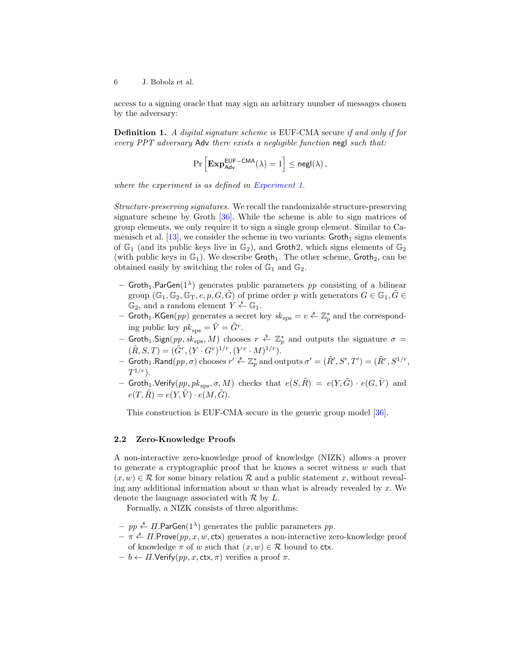access to a signing oracle that may sign an arbitrary number of messages chosen by the adversary:

Definition 1. A digital signature scheme is EUF-CMA secure if and only if for every PPT adversary Adv there exists a negligible function negl such that:

$$
\Pr\left[\mathbf{Exp}_{\mathsf{Adv}}^{\mathsf{EUF-CMA}}(\lambda) = 1\right] \leq \mathsf{negl}(\lambda)\,,
$$

where the experiment is as defined in [Experiment 1.](#page-4-1)

Structure-preserving signatures. We recall the randomizable structure-preserving signature scheme by Groth [\[36\]](#page-20-8). While the scheme is able to sign matrices of group elements, we only require it to sign a single group element. Similar to Camenisch et al.  $[13]$ , we consider the scheme in two variants:  $\mathsf{Groth}_1$  signs elements of  $\mathbb{G}_1$  (and its public keys live in  $\mathbb{G}_2$ ), and Groth2, which signs elements of  $\mathbb{G}_2$ (with public keys in  $\mathbb{G}_1$ ). We describe  $\mathsf{Groth}_1$ . The other scheme,  $\mathsf{Groth}_2$ , can be obtained easily by switching the roles of  $\mathbb{G}_1$  and  $\mathbb{G}_2$ .

- Groth<sub>1</sub>.ParGen(1<sup> $\lambda$ </sup>) generates public parameters pp consisting of a bilinear group  $(\mathbb{G}_1, \mathbb{G}_2, \mathbb{G}_T, e, p, G, \tilde{G})$  of prime order p with generators  $G \in \mathbb{G}_1, \tilde{G} \in$  $\mathbb{G}_2$ , and a random element  $Y \stackrel{\hspace{0.1em}\mathsf{\scriptscriptstyle\$}}{\leftarrow} \mathbb{G}_1$ .
- Groth<sub>1</sub>.KGen(pp) generates a secret key  $sk_{\text{sps}} = v \overset{\hspace{0.1em}\mathsf{\scriptscriptstyle\$}}{\leftarrow} \mathbb{Z}_p^*$  and the corresponding public key  $pk_{\text{sps}} = \tilde{V} = \tilde{G}^v$ .
- Groth<sub>1</sub>.Sign(pp, sk<sub>sps</sub>, M) chooses  $r \stackrel{s}{\leftarrow} \mathbb{Z}_p^*$  and outputs the signature σ =  $(\tilde{R}, S, T) = (\tilde{G}^r, (Y \cdot G^v)^{1/r}, (Y^v \cdot M)^{1/r}).$
- $-$  Groth $_1$  .Rand $(p p, \sigma)$  chooses  $r' \stackrel{\hspace{0.1em}\mathsf{\scriptscriptstyle\$}}{\leftarrow} \mathbb{Z}_p^*$  and outputs  $\sigma' = (\tilde{R}', S', T') = (\tilde{R}^r, S^{1/r}, T')$  $T^{1/r}$ ).
- Groth<sub>1</sub>.Verify(pp,  $pk_{\text{sps}}, \sigma, M$ ) checks that  $e(S, \tilde{R}) = e(Y, \tilde{G}) \cdot e(G, \tilde{V})$  and  $e(T, \tilde{R}) = e(Y, \tilde{V}) \cdot e(M, \tilde{G}).$

This construction is EUF-CMA secure in the generic group model [\[36\]](#page-20-8).

#### 2.2 Zero-Knowledge Proofs

A non-interactive zero-knowledge proof of knowledge (NIZK) allows a prover to generate a cryptographic proof that he knows a secret witness  $w$  such that  $(x, w) \in \mathcal{R}$  for some binary relation  $\mathcal{R}$  and a public statement x, without revealing any additional information about  $w$  than what is already revealed by  $x$ . We denote the language associated with  $\mathcal{R}$  by  $L$ .

Formally, a NIZK consists of three algorithms:

- $pp \stackrel{\hspace{0.1em}\mathsf{\scriptscriptstyle\$}}{\leftarrow} \Pi$ .ParGen $(1^{\lambda})$  generates the public parameters pp.
- $-\pi \stackrel{\text{a}}{\leftarrow} \Pi$ . Prove $(pp, x, w, \text{ctx})$  generates a non-interactive zero-knowledge proof of knowledge  $\pi$  of w such that  $(x, w) \in \mathcal{R}$  bound to ctx.
- $b \leftarrow \Pi$ . Verify $(pp, x, \text{ctx}, \pi)$  verifies a proof  $\pi$ .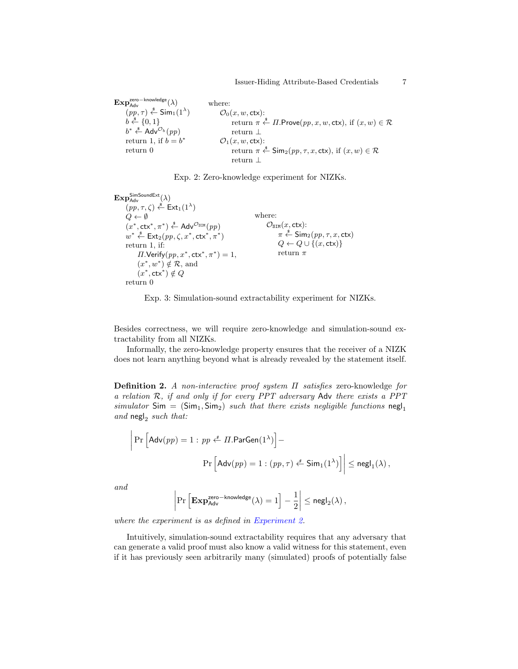<span id="page-6-0"></span> $\mathrm{Exp}^\mathsf{zero-knowledge}_\mathrm{Adv}(\lambda)$  $(pp, \tau) \overset{\hspace{0.1em}\mathsf{\scriptscriptstyle\$}}{\leftarrow} \mathsf{Sim}_1(1^\lambda)$  $b \stackrel{\$}{\leftarrow} \{0,1\}$  $b^* \overset{\hspace{0.1em}\mathsf{\scriptscriptstyle\$}}{\leftarrow} \mathsf{Adv}^{\mathcal{O}_b}(pp)$ return 1, if  $b = b^*$ return 0 where:  $\mathcal{O}_0(x, w, \textsf{ctx})$ : return  $\pi \stackrel{\$}{\leftarrow} \Pi$ . Prove $(pp, x, w, \text{ctx})$ , if  $(x, w) \in \mathcal{R}$ return ⊥  $\mathcal{O}_1(x, w, \textsf{ctx})$ : return  $\pi \stackrel{\hspace{0.1em}\mathsf{\scriptscriptstyle\$}}{\leftarrow} \mathsf{Sim}_2(p p,\tau,x,\mathsf{ctx}),$  if  $(x,w) \in \mathcal{R}$ return ⊥

Exp. 2: Zero-knowledge experiment for NIZKs.

```
\mathrm{Exp}^\mathsf{SimSoundExt}_\mathsf{Adv}(\lambda)(pp, \tau, \zeta) \stackrel{\$}{\leftarrow} \mathsf{Ext}_1(1^{\lambda})Q \leftarrow \emptyset(x^*, ctx<sup>*</sup>, \pi^*) \overset{\$}{\leftarrow} Adv<sup>\mathcal{O}_{\text{SIM}}(pp)</sup>
w^* \overset{\$}{\leftarrow} \mathsf{Ext}_2(pp, \zeta, x^*, \mathsf{ctx}^*, \pi^*)return 1, if:
         \Pi. Verify(pp, x^*, \text{ctx}^*, \pi^*) = 1,
         (x^*, w^*) \notin \mathcal{R}, and
         (x^*, ctx<sup>*</sup>) \notin Qreturn 0
                                                                                            where:
                                                                                                     \mathcal{O}_{\text{SIM}}(x, \text{ctx}):
                                                                                                               \pi \stackrel{\$}{\leftarrow} \mathsf{Sim}_2(pp,\tau,x,\mathsf{ctx})Q \leftarrow Q \cup \{(x, \text{ctx})\}return \pi
```
Exp. 3: Simulation-sound extractability experiment for NIZKs.

Besides correctness, we will require zero-knowledge and simulation-sound extractability from all NIZKs.

<span id="page-6-2"></span>Informally, the zero-knowledge property ensures that the receiver of a NIZK does not learn anything beyond what is already revealed by the statement itself.

Definition 2. A non-interactive proof system Π satisfies zero-knowledge for a relation R, if and only if for every PPT adversary Adv there exists a PPT simulator  $Sim = (Sim_1, Sim_2)$  such that there exists negligible functions negl<sub>1</sub> and  $\text{negl}_2$  such that:

$$
\left| \Pr \left[ \mathsf{Adv}(pp) = 1 : pp \stackrel{\ast}{\leftarrow} \Pi.\mathsf{ParGen}(1^{\lambda}) \right] - \right.
$$

$$
\left| \Pr \left[ \mathsf{Adv}(pp) = 1 : (pp, \tau) \stackrel{\ast}{\leftarrow} \mathsf{Sim}_1(1^{\lambda}) \right] \right| \le \mathsf{negl}_1(\lambda),
$$

and

 $\overline{1}$ 

$$
\left|\Pr\left[\mathbf{Exp}_{\mathsf{Adv}}^{\mathsf{zero-knowledge}}(\lambda) = 1\right] - \frac{1}{2}\right| \leq \mathsf{negl}_2(\lambda)\,,
$$

where the experiment is as defined in [Experiment 2.](#page-6-0)

Intuitively, simulation-sound extractability requires that any adversary that can generate a valid proof must also know a valid witness for this statement, even if it has previously seen arbitrarily many (simulated) proofs of potentially false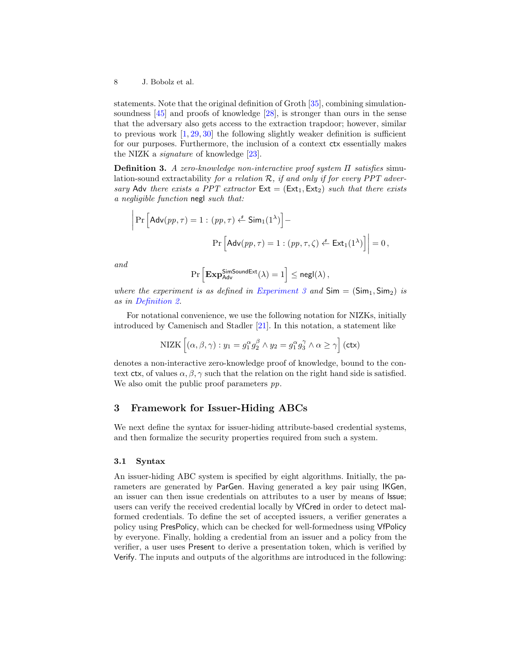statements. Note that the original definition of Groth [\[35\]](#page-20-10), combining simulationsoundness [\[45\]](#page-21-7) and proofs of knowledge [\[28\]](#page-20-11), is stronger than ours in the sense that the adversary also gets access to the extraction trapdoor; however, similar to previous work [\[1,](#page-18-1) [29,](#page-20-12) [30\]](#page-20-13) the following slightly weaker definition is sufficient for our purposes. Furthermore, the inclusion of a context ctx essentially makes the NIZK a signature of knowledge [\[23\]](#page-20-7).

**Definition 3.** A zero-knowledge non-interactive proof system  $\Pi$  satisfies simulation-sound extractability for a relation  $R$ , if and only if for every PPT adversary Adv there exists a PPT extractor  $Ext = (Ext_1, Ext_2)$  such that there exists a negligible function negl such that:

$$
\left| \Pr \left[ \mathsf{Adv}(pp, \tau) = 1 : (pp, \tau) \stackrel{\ast}{\leftarrow} \mathsf{Sim}_1(1^{\lambda}) \right] - \right.
$$

$$
\left| \Pr \left[ \mathsf{Adv}(pp, \tau) = 1 : (pp, \tau, \zeta) \stackrel{\ast}{\leftarrow} \mathsf{Ext}_1(1^{\lambda}) \right] \right| = 0,
$$

and

$$
\Pr\left[\mathbf{Exp}_{\mathsf{Adv}}^{\mathsf{SimSoundExt}}(\lambda) = 1\right] \leq \mathsf{negl}(\lambda)\,,
$$

where the experiment is as defined in [Experiment 3](#page-6-1) and  $Sim = (Sim_1, Sim_2)$  is as in [Definition 2.](#page-6-2)

For notational convenience, we use the following notation for NIZKs, initially introduced by Camenisch and Stadler [\[21\]](#page-20-14). In this notation, a statement like

NIZK 
$$
[(\alpha, \beta, \gamma) : y_1 = g_1^{\alpha} g_2^{\beta} \wedge y_2 = g_1^{\alpha} g_3^{\gamma} \wedge \alpha \ge \gamma]
$$
 (ctx)

denotes a non-interactive zero-knowledge proof of knowledge, bound to the context ctx, of values  $\alpha, \beta, \gamma$  such that the relation on the right hand side is satisfied. We also omit the public proof parameters  $pp$ .

# <span id="page-7-0"></span>3 Framework for Issuer-Hiding ABCs

We next define the syntax for issuer-hiding attribute-based credential systems, and then formalize the security properties required from such a system.

#### 3.1 Syntax

An issuer-hiding ABC system is specified by eight algorithms. Initially, the parameters are generated by ParGen. Having generated a key pair using IKGen, an issuer can then issue credentials on attributes to a user by means of Issue; users can verify the received credential locally by VfCred in order to detect malformed credentials. To define the set of accepted issuers, a verifier generates a policy using PresPolicy, which can be checked for well-formedness using VfPolicy by everyone. Finally, holding a credential from an issuer and a policy from the verifier, a user uses Present to derive a presentation token, which is verified by Verify. The inputs and outputs of the algorithms are introduced in the following: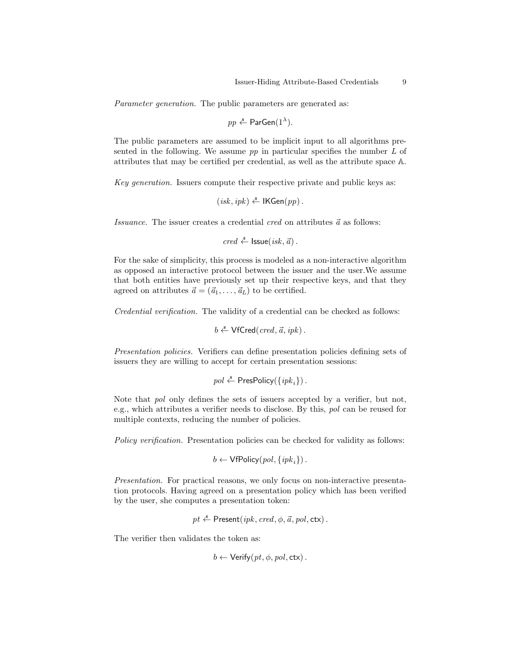Parameter generation. The public parameters are generated as:

$$
pp \stackrel{\hspace{0.1em}\mathsf{\scriptscriptstyle\$}}{\leftarrow} \mathsf{ParGen}(1^\lambda).
$$

The public parameters are assumed to be implicit input to all algorithms presented in the following. We assume  $pp$  in particular specifies the number  $L$  of attributes that may be certified per credential, as well as the attribute space A.

Key generation. Issuers compute their respective private and public keys as:

$$
(isk, ipk) \stackrel{\hspace{0.1em}\mathsf{\scriptscriptstyle\$}}{\leftarrow} \mathsf{IKGen}(pp)\,.
$$

*Issuance*. The issuer creates a credential *cred* on attributes  $\vec{a}$  as follows:

$$
cred \xleftarrow{\$} \textsf{issue}(isk, \vec{a})
$$

For the sake of simplicity, this process is modeled as a non-interactive algorithm as opposed an interactive protocol between the issuer and the user.We assume that both entities have previously set up their respective keys, and that they agreed on attributes  $\vec{a} = (\vec{a}_1, \ldots, \vec{a}_L)$  to be certified.

Credential verification. The validity of a credential can be checked as follows:

 $b \stackrel{\hspace{0.1em}\mathsf{\scriptscriptstyle\$}}{\leftarrow}$  VfCred(*cred*,  $\vec{a}$ , *ipk*).

Presentation policies. Verifiers can define presentation policies defining sets of issuers they are willing to accept for certain presentation sessions:

$$
pol \stackrel{\hspace{0.1em}\mathsf{\scriptscriptstyle\$}}{\leftarrow} \mathsf{PresPolicy}(\{ipk_i\})\,.
$$

Note that pol only defines the sets of issuers accepted by a verifier, but not, e.g., which attributes a verifier needs to disclose. By this, pol can be reused for multiple contexts, reducing the number of policies.

Policy verification. Presentation policies can be checked for validity as follows:

$$
b \leftarrow \mathsf{VfPolicy}(pol, \{ipk_i\})\,.
$$

Presentation. For practical reasons, we only focus on non-interactive presentation protocols. Having agreed on a presentation policy which has been verified by the user, she computes a presentation token:

$$
pt \stackrel{\text{s}}{\leftarrow}
$$
 Present(*ipk*, *cred*,  $\phi$ ,  $\vec{a}$ , *pol*,  $\text{ctx}$ ).

The verifier then validates the token as:

$$
b \leftarrow \mathsf{Verify}(pt, \phi, pol, \mathsf{ctx}) .
$$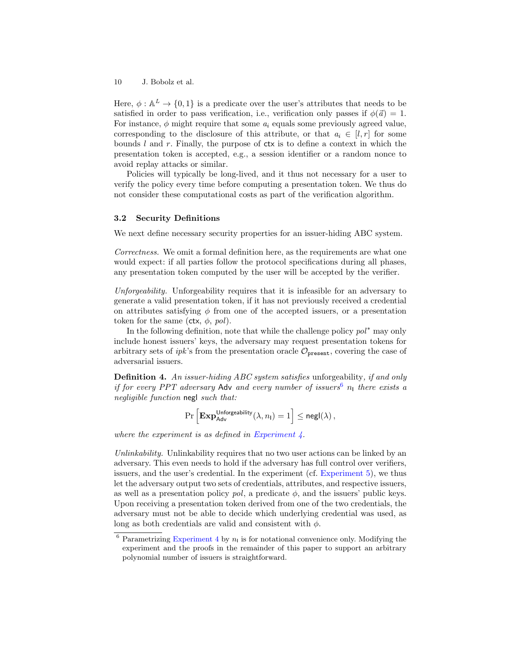Here,  $\phi : \mathbb{A}^L \to \{0,1\}$  is a predicate over the user's attributes that needs to be satisfied in order to pass verification, i.e., verification only passes if  $\phi(\vec{a}) = 1$ . For instance,  $\phi$  might require that some  $a_i$  equals some previously agreed value, corresponding to the disclosure of this attribute, or that  $a_i \in [l, r]$  for some bounds  $l$  and  $r$ . Finally, the purpose of  $\mathsf{ctx}$  is to define a context in which the presentation token is accepted, e.g., a session identifier or a random nonce to avoid replay attacks or similar.

Policies will typically be long-lived, and it thus not necessary for a user to verify the policy every time before computing a presentation token. We thus do not consider these computational costs as part of the verification algorithm.

#### 3.2 Security Definitions

We next define necessary security properties for an issuer-hiding ABC system.

Correctness. We omit a formal definition here, as the requirements are what one would expect: if all parties follow the protocol specifications during all phases, any presentation token computed by the user will be accepted by the verifier.

Unforgeability. Unforgeability requires that it is infeasible for an adversary to generate a valid presentation token, if it has not previously received a credential on attributes satisfying  $\phi$  from one of the accepted issuers, or a presentation token for the same (ctx,  $\phi$ , pol).

In the following definition, note that while the challenge policy  $pol^*$  may only include honest issuers' keys, the adversary may request presentation tokens for arbitrary sets of *ipk*'s from the presentation oracle  $\mathcal{O}_{\text{present}}$ , covering the case of adversarial issuers.

Definition 4. An issuer-hiding ABC system satisfies unforgeability, if and only if for every PPT adversary Adv and every number of issuers<sup>[6](#page-9-0)</sup>  $n_1$  there exists a negligible function negl such that:

$$
\Pr\left[\mathbf{Exp}_{\mathsf{Adv}}^{\mathsf{Unforgetability}}(\lambda,n_{\mathsf{I}})=1\right]\leq \mathsf{negl}(\lambda)\,,
$$

where the experiment is as defined in [Experiment 4.](#page-10-0)

Unlinkability. Unlinkability requires that no two user actions can be linked by an adversary. This even needs to hold if the adversary has full control over verifiers, issuers, and the user's credential. In the experiment (cf. [Experiment 5\)](#page-10-1), we thus let the adversary output two sets of credentials, attributes, and respective issuers, as well as a presentation policy pol, a predicate  $\phi$ , and the issuers' public keys. Upon receiving a presentation token derived from one of the two credentials, the adversary must not be able to decide which underlying credential was used, as long as both credentials are valid and consistent with  $\phi$ .

<span id="page-9-0"></span> $6$  Parametrizing [Experiment 4](#page-10-0) by  $n_1$  is for notational convenience only. Modifying the experiment and the proofs in the remainder of this paper to support an arbitrary polynomial number of issuers is straightforward.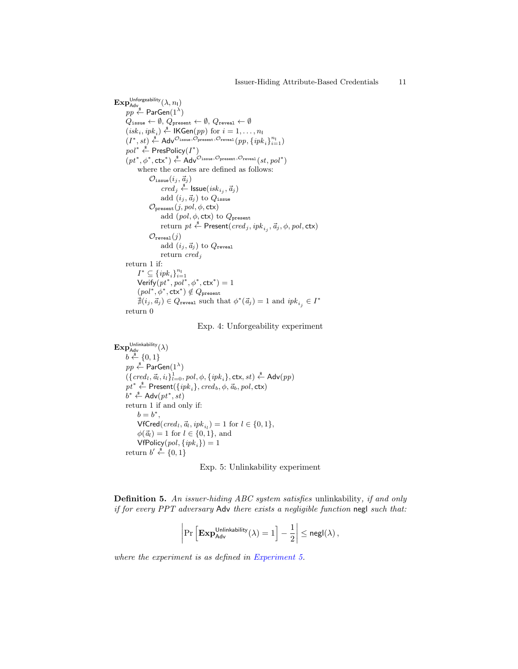```
\mathbf{Exp}^\mathsf{Unforgetability}_{\mathsf{Adv}}(\lambda,n_\mathsf{I})pp \stackrel{\hspace{0.1em}\mathsf{\scriptscriptstyle\$}}{\leftarrow} ParGen(1^{\lambda})Q_{\text{issue}} \leftarrow \emptyset, Q_{\text{present}} \leftarrow \emptyset, Q_{\text{reveal}} \leftarrow \emptyset(isk_i, ipk_i) \overset{\$}{\leftarrow} \mathsf{IKGen}(pp) \text{ for } i = 1, \ldots, n_1(I^*,st) \overset{\hspace{0.1em}\mathsf{\scriptscriptstyle\$}}{\leftarrow} \mathsf{Adv}^{\mathcal{O}_{\text{issue}},\mathcal{O}_{\text{present}},\mathcal{O}_{\text{reveal}}}(pp,\{ipk_i\}_{i=1}^{n_\mathsf{I}})pol^* \overset{\hspace{0.1em}\mathsf{\scriptscriptstyle\$}}{\leftarrow} PresPolicy(I^*)(pt^*, \phi^*, \textsf{ctx}^*) \overset{\$}{\leftarrow} \mathsf{Adv}^{\mathcal{O}_\texttt{ISSue}, \mathcal{O}_\texttt{present}, \mathcal{O}_\texttt{reveal}}(st, pol^*)where the oracles are defined as follows:
                   \mathcal{O}_{\text{issue}}(i_j, \vec{a}_j)\text{cred}_j \overset{\$}{\leftarrow} \textsf{ Issue}(isk_{i_j}, \vec{a}_j)add (i_j, \vec{a}_j) to Q_{\text{issue}}\mathcal{O}_{\mathtt{present}}(j, pol, \phi, \mathtt{ctx})add (pol, \phi, \text{ctx}) to Q_{\text{present}}return \emph{pt} \overset{\hspace{0.1em}\mathsf{\scriptscriptstyle\$}}{\leftarrow} \mathsf{Present}(\textit{cred}_j, \emph{ipk}_{i_j}, \vec{a}_j, \phi, \textit{pol}, \textsf{ctx})\mathcal{O}_{\text{reveal}}(j)add (i_j, \vec{a}_j) to Q_{\text{reveal}}return \,cred_{j}return 1 if:
           I^* \subseteq \{ipk_i\}_{i=1}^{n_1}Verify(pt^*, pol^*, \phi^*, \text{ctx}^*) = 1(\text{pol}^*, \phi^*, \text{ctx}^*) \notin Q_{\text{present}}\overrightarrow{\mu}(i_j, \vec{a}_j) \in Q_{\texttt{reveal}} \text{ such that } \phi^*(\vec{a}_j) = 1 \text{ and } i p k_{i_j} \in I^*return 0
```
Exp. 4: Unforgeability experiment

```
\mathrm{Exp}^{\mathsf{Unlinkability}}_{\mathsf{Adv}}(\lambda)b \stackrel{s}{\leftarrow} \{0,1\}pp \stackrel{\hspace{0.1em}\mathsf{\scriptscriptstyle\$}}{\leftarrow} ParGen(1^{\lambda})(\{ \text{cred}_l, \vec{a}_l, i_l \}_{l=0}^1, \text{pol}, \phi, \{ \text{ipk}_i \}, \textsf{ctx}, st) \overset{\$}{\leftarrow} \mathsf{Adv}(pp)pt^* \stackrel{\hspace{0.1em}\mathsf{\scriptscriptstyle\$}}{\leftarrow} \mathsf{Present}(\{ipk_i\}, cred_b, \phi, \vec{a}_b, pol, \mathsf{ctx})b^* \overset{\$}{\leftarrow} \mathsf{Adv}(pt^*, st)return 1 if and only if:
         b = b^*,\mathsf{VfCred}(cred_l, \vec{a}_l, ipk_{i_l}) = 1 \text{ for } l \in \{0, 1\},\phi(\vec{a}_l) = 1 for l \in \{0, 1\}, and
        VfPolicy(pol, \{ipk_i\}) = 1return b' \stackrel{\$}{\leftarrow} \{0,1\}
```
Exp. 5: Unlinkability experiment

**Definition 5.** An issuer-hiding ABC system satisfies unlinkability, if and only if for every PPT adversary Adv there exists a negligible function negl such that:

$$
\left|\Pr\left[\mathbf{Exp}_{\mathsf{Adv}}^{\mathsf{Unlinkability}}(\lambda) = 1\right] - \frac{1}{2}\right| \leq \mathsf{negl}(\lambda)\,,
$$

where the experiment is as defined in [Experiment 5.](#page-10-1)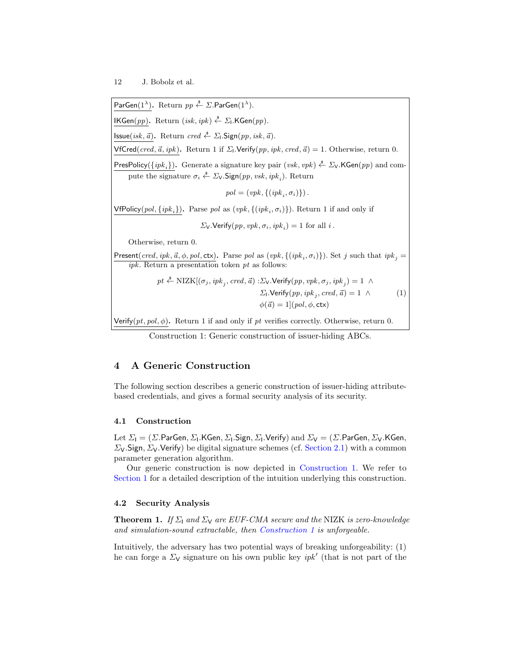<span id="page-11-1"></span>ParGen(1<sup> $\lambda$ </sup>). Return  $pp \stackrel{\hspace{0.1em}\mathsf{\scriptscriptstyle\$}}{\leftarrow} \Sigma$ .ParGen(1 $\lambda$ ). IKGen(pp). Return (isk, ipk)  $\stackrel{\$}{\leftarrow} \Sigma_1$ .KGen(pp).  $\mathsf{Issue}(isk, \vec{a})$ . Return cred  $\stackrel{\$}{\leftarrow} \Sigma_1$ . Sign $(pp, isk, \vec{a})$ .  $VfCred(cred, \vec{a}, ipk)$ . Return 1 if  $\Sigma_1$ . Verify $(pp, ipk, cred, \vec{a}) = 1$ . Otherwise, return 0. PresPolicy( $\{ipk_i\}$ ). Generate a signature key pair  $(vsk, vpk) \stackrel{\$}{\leftarrow} \Sigma_V$ .KGen(pp) and compute the signature  $\sigma_i \stackrel{\hspace{0.1em}\mathsf{\scriptscriptstyle\$}}{\leftarrow} \Sigma_{\mathsf{V}}.\mathsf{Sign}(pp, vsk, ipk_i).$  Return  $pol = (vpk, \{(ipk_i, \sigma_i)\})$ .  $VfPolicy$  $(pol, \{ipk_i\})$ *.* Parse *pol* as  $(vpk, \{(ipk_i, \sigma_i)\})$ . Return 1 if and only if  $\Sigma_{\mathsf{V}}$ . Verify $(pp, vpk, \sigma_i, ipk_i) = 1$  for all *i*. Otherwise, return 0. Present(*cred, ipk,*  $\vec{a}$ *,*  $\phi$ *, pol,* ctx). Parse pol as  $(vpk, \{(ipk_i, \sigma_i)\})$ . Set j such that  $ipk_j =$  $ipk$ . Return a presentation token  $pt$  as follows:  $pt \stackrel{s}{\leftarrow} \textrm{NIZK}[(\sigma_j, ipk_j, cred, \vec{a}) : \Sigma_V.\mathsf{Verify}(pp, vpk, \sigma_j, ipk_j) = 1 \; \wedge \;$  $\Sigma_1$ . Verify $(pp, ipk_j, cred, \vec{a}) = 1 \wedge$  (1)  $\phi(\vec{a}) = 1$ ](pol,  $\phi$ , ctx) Verify( $pt, pol, \phi$ ). Return 1 if and only if  $pt$  verifies correctly. Otherwise, return 0.

# <span id="page-11-0"></span>4 A Generic Construction

The following section describes a generic construction of issuer-hiding attributebased credentials, and gives a formal security analysis of its security.

#### 4.1 Construction

Let  $\varSigma_\mathsf{I}=(\varSigma.\mathsf{ParGen},\varSigma_\mathsf{I}.\mathsf{KGen},\varSigma_\mathsf{I}.\mathsf{Sign},\varSigma_\mathsf{I}.\mathsf{Verify})\text{ and }\varSigma_\mathsf{V}=(\varSigma.\mathsf{ParGen},\varSigma_\mathsf{V}.\mathsf{KGen},$  $\Sigma_{\rm V}$ .Sign,  $\Sigma_{\rm V}$ .Verify) be digital signature schemes (cf. [Section 2.1\)](#page-4-2) with a common parameter generation algorithm.

Our generic construction is now depicted in [Construction 1.](#page-11-1) We refer to [Section 1](#page-2-1) for a detailed description of the intuition underlying this construction.

#### 4.2 Security Analysis

**Theorem 1.** If  $\Sigma_1$  and  $\Sigma_V$  are EUF-CMA secure and the NIZK is zero-knowledge and simulation-sound extractable, then [Construction 1](#page-11-1) is unforgeable.

Intuitively, the adversary has two potential ways of breaking unforgeability: (1) he can forge a  $\Sigma_{\mathsf{V}}$  signature on his own public key  $ipk'$  (that is not part of the

<span id="page-11-2"></span>Construction 1: Generic construction of issuer-hiding ABCs.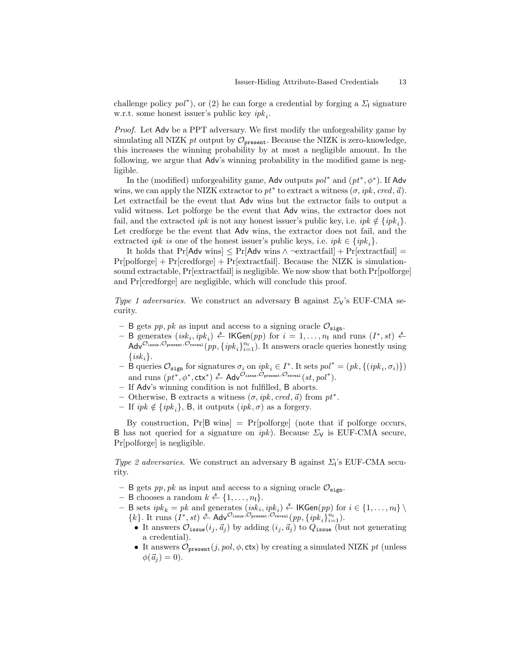challenge policy  $pol^*$ ), or (2) he can forge a credential by forging a  $\Sigma_1$  signature w.r.t. some honest issuer's public key  $ipk_i$ .

Proof. Let Adv be a PPT adversary. We first modify the unforgeability game by simulating all NIZK pt output by  $\mathcal{O}_{\text{present}}$ . Because the NIZK is zero-knowledge, this increases the winning probability by at most a negligible amount. In the following, we argue that Adv's winning probability in the modified game is negligible.

In the (modified) unforgeability game, Adv outputs  $pol^*$  and  $(pt^*, \phi^*)$ . If Adv wins, we can apply the NIZK extractor to  $pt^*$  to extract a witness  $(\sigma, ipk, cred, \vec{a})$ . Let extractfail be the event that Adv wins but the extractor fails to output a valid witness. Let polforge be the event that Adv wins, the extractor does not fail, and the extracted *ipk* is not any honest issuer's public key, i.e.  $ipk \notin \{ipk_{i}\}.$ Let credforge be the event that Adv wins, the extractor does not fail, and the extracted *ipk is* one of the honest issuer's public keys, i.e.  $ipk \in \{ipk_i\}$ .

It holds that Pr[Adv wins]  $\leq$  Pr[Adv wins  $\land \neg$ extractfail] + Pr[extractfail] =  $Pr[polforget] + Pr[creditractfail]$ . Because the NIZK is simulationsound extractable,  $Pr[extractfall]$  is negligible. We now show that both  $Pr[pdforge]$ and Pr[credforge] are negligible, which will conclude this proof.

Type 1 adversaries. We construct an adversary B against  $\Sigma_{\rm V}$ 's EUF-CMA security.

- B gets pp, pk as input and access to a signing oracle  $\mathcal{O}_{\text{sign}}$ .
- B generates  $(isk_i, ipk_i) \triangleq \mathsf{IKGen}(pp)$  for  $i = 1, \ldots, n_1$  and runs  $(I^*, st) \triangleq$  $\mathsf{Adv}^{\mathcal{O}_{\text{issue}},\mathcal{O}_{\text{present}},\mathcal{O}_{\text{reveal}}}(pp,\{ipk_i\}_{i=1}^{n_1}).$  It answers oracle queries honestly using  $\{isk_i\}.$
- $-$  B queries  $\mathcal{O}_{\text{sign}}$  for signatures  $\sigma_i$  on  $ipk_i \in I^*$ . It sets  $pol^* = (pk, \{(ipk_i, \sigma_i)\})$ and runs  $(pt^*, \phi^*, \textsf{ctx}^*) \overset{\hspace{0.1em}\mathsf{\scriptscriptstyle\$}}{\leftarrow} \mathsf{Adv}^{\mathcal{O}_{\textsf{isuse}}, \mathcal{O}_{\textsf{present}}, \mathcal{O}_{\textsf{reveal}}}(st, pol^*).$
- If Adv's winning condition is not fulfilled, B aborts.
- Otherwise, B extracts a witness  $(\sigma, ipk, cred, \vec{a})$  from  $pt^*$ .
- If  $ipk \notin \{ipk_i\}$ , B, it outputs  $(ipk, \sigma)$  as a forgery.

By construction,  $Pr[B \text{ wins}] = Pr[pol forge]$  (note that if polforge occurs, B has not queried for a signature on  $ipk$ ). Because  $\Sigma_{\mathsf{V}}$  is EUF-CMA secure, Pr[polforge] is negligible.

Type 2 adversaries. We construct an adversary B against  $\Sigma_1$ 's EUF-CMA security.

- B gets pp, pk as input and access to a signing oracle  $\mathcal{O}_{\text{sign}}$ .
- $-$  B chooses a random  $k \stackrel{\hspace{0.1em}\mathsf{\scriptscriptstyle\$}}{\leftarrow} \{1,\ldots,n_1\}.$
- B sets  $ipk_k = pk$  and generates  $(isk_i, ipk_i) \overset{\$}{\leftarrow}$  IKGen $(pp)$  for  $i \in \{1, ..., n_l\} \setminus$  $\{k\}$ . It runs  $(I^*, st) \overset{\hspace{0.1em}\mathsf{\scriptscriptstyle\$}}{\leftarrow} \mathsf{Adv}^{\mathcal{O}_{\text{issue}}, \mathcal{O}_{\text{present}}, \mathcal{O}_{\text{reveal}}}(pp, \{ipk_i\}_{i=1}^{n_1}).$ 
	- It answers  $\mathcal{O}_{\text{issue}}(i_j, \vec{a}_j)$  by adding  $(i_j, \vec{a}_j)$  to  $\hat{Q}_{\text{issue}}$  (but not generating a credential).
	- $\bullet\,$  It answers  $\mathcal{O}_{\mathtt{present}}(j, pol, \phi, \mathsf{ctx})$  by creating a simulated NIZK  $pt$  (unless  $\phi(\vec{a}_i) = 0.$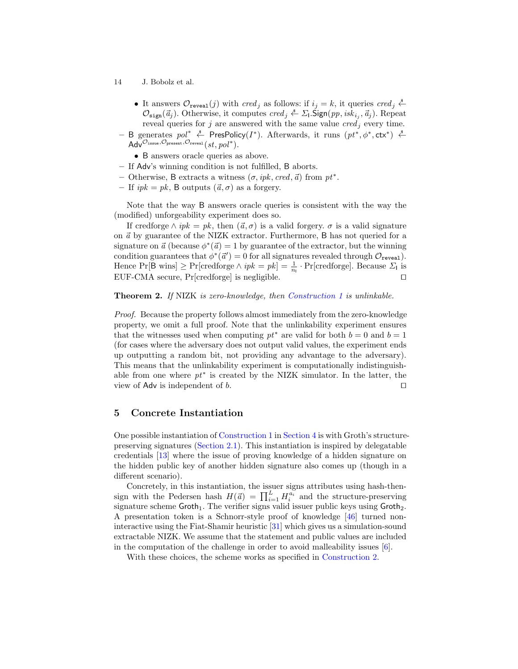- 14 J. Bobolz et al.
	- It answers  $\mathcal{O}_{\text{reveal}}(j)$  with  $cred_j$  as follows: if  $i_j = k$ , it queries  $cred_j \triangleq$  $\mathcal{O}_{\text{sign}}(\vec{a}_j)$ . Otherwise, it computes  $\text{cred}_j \overset{\hspace{0.1em}\mathsf{\scriptscriptstyle\$}}{\leftarrow} \Sigma_l$ . Sign $(pp, isk_{i_j}, \vec{a}_j)$ . Repeat reveal queries for j are answered with the same value  $\operatorname{cred}_i$  every time.
	- B generates  $pol^* \xleftarrow{s}$  PresPolicy(I<sup>\*</sup>). Afterwards, it runs ( $pt^*, \phi^*, \text{ctx}^*$ )  $\xleftarrow{s}$  $\mathsf{Adv}^{\mathcal{O}_{\text{issue}},\mathcal{O}_{\text{present}},\mathcal{O}_{\text{reveal}}}(st, pol^{*}).$ 
		- B answers oracle queries as above.
- If Adv's winning condition is not fulfilled, B aborts.
- Otherwise, B extracts a witness  $(\sigma, ipk, cred, \vec{a})$  from  $pt^*$ .
- If  $ipk = pk$ , B outputs  $(\vec{a}, \sigma)$  as a forgery.

Note that the way B answers oracle queries is consistent with the way the (modified) unforgeability experiment does so.

If credforge  $\wedge ipk = pk$ , then  $(\vec{a}, \sigma)$  is a valid forgery.  $\sigma$  is a valid signature on  $\vec{a}$  by guarantee of the NIZK extractor. Furthermore, B has not queried for a signature on  $\vec{a}$  (because  $\phi^*(\vec{a}) = 1$  by guarantee of the extractor, but the winning condition guarantees that  $\phi^*(\vec{a}') = 0$  for all signatures revealed through  $\mathcal{O}_{\text{reveal}}$ ). Hence Pr[B wins]  $\geq$  Pr[credforge  $\wedge ipk = pk$ ] =  $\frac{1}{n_1} \cdot Pr[{\rm credforeg}]$ . Because  $\Sigma_1$  is EUF-CMA secure, Pr[credforge] is negligible. ⊓⊔

#### Theorem 2. If NIZK is zero-knowledge, then [Construction 1](#page-11-1) is unlinkable.

Proof. Because the property follows almost immediately from the zero-knowledge property, we omit a full proof. Note that the unlinkability experiment ensures that the witnesses used when computing  $pt^*$  are valid for both  $b = 0$  and  $b = 1$ (for cases where the adversary does not output valid values, the experiment ends up outputting a random bit, not providing any advantage to the adversary). This means that the unlinkability experiment is computationally indistinguishable from one where  $pt^*$  is created by the NIZK simulator. In the latter, the view of Adv is independent of b.  $□$ 

# <span id="page-13-0"></span>5 Concrete Instantiation

One possible instantiation of [Construction 1](#page-11-1) in [Section 4](#page-11-0) is with Groth's structurepreserving signatures [\(Section 2.1\)](#page-4-2). This instantiation is inspired by delegatable credentials [\[13\]](#page-19-8) where the issue of proving knowledge of a hidden signature on the hidden public key of another hidden signature also comes up (though in a different scenario).

Concretely, in this instantiation, the issuer signs attributes using hash-thensign with the Pedersen hash  $H(\vec{a}) = \prod_{i=1}^{L} H_i^{\vec{a_i}}$  and the structure-preserving signature scheme  $Groth<sub>1</sub>$ . The verifier signs valid issuer public keys using  $Groth<sub>2</sub>$ . A presentation token is a Schnorr-style proof of knowledge [\[46\]](#page-21-8) turned noninteractive using the Fiat-Shamir heuristic [\[31\]](#page-20-15) which gives us a simulation-sound extractable NIZK. We assume that the statement and public values are included in the computation of the challenge in order to avoid malleability issues  $[6]$ .

With these choices, the scheme works as specified in [Construction 2.](#page-14-0)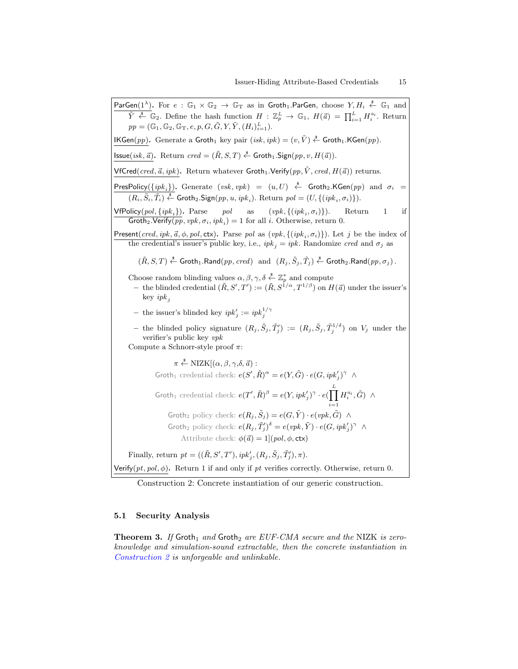<span id="page-14-0"></span>ParGen(1<sup> $\lambda$ </sup>). For  $e: \mathbb{G}_1 \times \mathbb{G}_2 \to \mathbb{G}_T$  as in Groth1.ParGen, choose  $Y, H_i \stackrel{s}{\leftarrow} \mathbb{G}_1$  and  $\tilde{Y} \stackrel{\$}{\leftarrow} \mathbb{G}_2$ . Define the hash function  $H : \mathbb{Z}_p^L \to \mathbb{G}_1$ ,  $H(\vec{a}) = \prod_{i=1}^L H_i^{a_i}$ . Return  $pp = (\mathbb{G}_1, \mathbb{G}_2, \mathbb{G}_T, e, p, G, \tilde{G}, Y, \tilde{Y}, (H_i)_{i=1}^L).$  $\mathsf{IKGen}(pp)$ . Generate a Groth<sub>1</sub> key pair  $(isk, ipk) = (v, \tilde{V}) \overset{\hspace{0.1em}\mathsf{\scriptscriptstyle\$}}{\leftarrow}$  Groth<sub>1</sub>.KGen(pp).  $\mathsf{Issue}(isk, \vec{a})$ . Return  $cred = (\tilde{R}, S, T) \overset{\text{s}}{\leftarrow} \mathsf{Groth}_1.\mathsf{Sign}(pp, v, H(\vec{a})).$ VfCred(cred,  $\vec{a}$ , ipk). Return whatever Groth<sub>1</sub>.Verify(pp,  $\tilde{V}$ , cred,  $H(\vec{a})$ ) returns. PresPolicy( $\{ipk_i\}$ ). Generate  $(vsk, vpk) = (u, U) \stackrel{s}{\leftarrow}$  Groth<sub>2</sub>.KGen(pp) and  $\sigma_i =$  $(R_i, \tilde{S}_i, \tilde{T}_i) \overset{\$}{\leftarrow}$  Groth<sub>2</sub>.Sign(pp, u, ipk<sub>i</sub>). Return pol =  $(U, \{(ipk_i, \sigma_i)\})$ . VfPolicy(pol,  $\{ipk_i\}$ ). Parse pol as  $(vpk, \{(ipk_i, \sigma_i)\})$ . Return 1 if Groth<sub>2</sub>. Verify $(p\overline{p}, vpk, \sigma_i, ipk_i) = 1$  for all *i*. Otherwise, return 0. Present(cred, ipk,  $\vec{a}$ ,  $\phi$ , pol, ctx). Parse pol as  $(vpk, \{(ipk_i, \sigma_i)\})$ . Let j be the index of the credential's issuer's public key, i.e.,  $ipk_j = ipk$ . Randomize cred and  $\sigma_j$  as  $(\tilde{R}, S, T) \overset{\$}{\leftarrow}$  Groth<sub>1</sub>.Rand(pp, cred) and  $(R_j, \tilde{S}_j, \tilde{T}_j) \overset{\$}{\leftarrow}$  Groth<sub>2</sub>.Rand(pp,  $\sigma_j$ ). Choose random blinding values  $\alpha, \beta, \gamma, \delta \stackrel{\hspace{0.1em}\mathsf{\scriptscriptstyle\$}}{\rightleftharpoons} \mathbb{Z}_p^*$  and compute - the blinded credential  $(\tilde{R}, S', T') := (\tilde{R}, S^{1/\alpha}, T^{1/\beta})$  on  $H(\vec{a})$  under the issuer's key  $ipk_j$ - the issuer's blinded key  $ipk'_{j} := ipk_j^{1/\gamma}$ - the blinded policy signature  $(R_j, \tilde{S}_j, \tilde{T}'_j) := (R_j, \tilde{S}_j, \tilde{T}'_j^{1/\delta})$  on  $V_j$  under the verifier's public key vpk Compute a Schnorr-style proof  $\pi$ :  $\pi \stackrel{\$}{\leftarrow} \text{NIZK}[(\alpha, \beta, \gamma, \delta, \vec{a})$ : Groth<sub>1</sub> credential check:  $e(S', \tilde{R})^{\alpha} = e(Y, \tilde{G}) \cdot e(G, ipk'_{j})^{\gamma} \wedge$ Groth<sub>1</sub> credential check:  $e(T', \tilde{R})^{\beta} = e(Y, ipk'_{j})^{\gamma} \cdot e(\prod_{j}^{L}$  $i=1$  $H_i^{a_i}, \tilde{G}$ ) ∧ Groth<sub>2</sub> policy check:  $e(R_j, \tilde{S}_j) = e(G, \tilde{Y}) \cdot e(vpk, \tilde{G}) \wedge$ Groth<sub>2</sub> policy check:  $e(R_j, \tilde{T}'_j)^\delta = e(vpk, \tilde{Y}) \cdot e(G, ipk'_j)^\gamma$   $\wedge$ Attribute check:  $\phi(\vec{a}) = 1$ ](pol,  $\phi$ , ctx) Finally, return  $pt = ((\tilde{R}, S', T'), ipk'_j, (R_j, \tilde{S}_j, \tilde{T}'_j), \pi).$ Verify( $pt, pol, \phi$ ). Return 1 if and only if  $pt$  verifies correctly. Otherwise, return 0.

Construction 2: Concrete instantiation of our generic construction.

#### 5.1 Security Analysis

**Theorem 3.** If Groth<sub>1</sub> and Groth<sub>2</sub> are EUF-CMA secure and the NIZK is zeroknowledge and simulation-sound extractable, then the concrete instantiation in [Construction 2](#page-14-0) is unforgeable and unlinkable.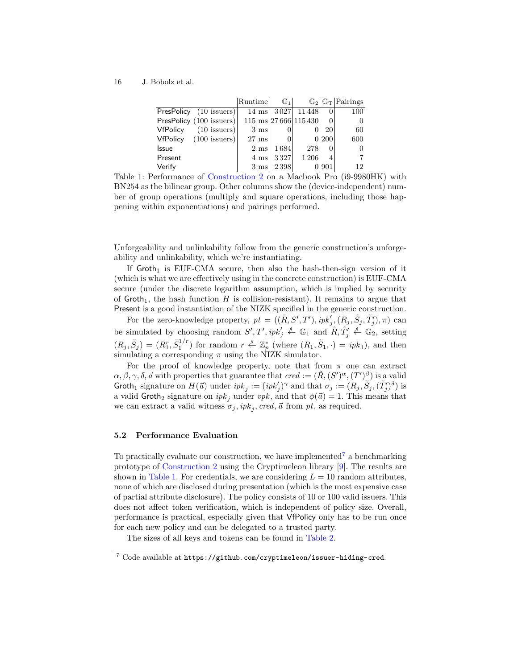<span id="page-15-1"></span>16 J. Bobolz et al.

|                             | Runtimel        | $G_1$ |                                     |       | $\mathbb{G}_2$ $\mathbb{G}_{\mathrm{T}}$ Pairings |
|-----------------------------|-----------------|-------|-------------------------------------|-------|---------------------------------------------------|
| PresPolicy (10 issuers)     | $14 \text{ ms}$ | 3027  | 11448                               |       | 100                                               |
| PresPolicy (100 issuers)    |                 |       | $115 \text{ ms}$   27 666   115 430 |       |                                                   |
| $(10$ issuers)<br>VfPolicy  | $3 \text{ ms}$  |       |                                     | 20    | 60                                                |
| $(100$ issuers)<br>VfPolicy | $27$ ms         |       |                                     | 0 200 | 600                                               |
| Issue                       | $2 \text{ ms}$  | 1684  | 278                                 |       |                                                   |
| Present                     | $4 \text{ ms}$  | 3327  | 1 206                               |       | 7                                                 |
| Verify                      | $3 \text{ ms}$  | 2398  |                                     |       | 12                                                |

Table 1: Performance of [Construction 2](#page-14-0) on a Macbook Pro (i9-9980HK) with BN254 as the bilinear group. Other columns show the (device-independent) number of group operations (multiply and square operations, including those happening within exponentiations) and pairings performed.

Unforgeability and unlinkability follow from the generic construction's unforgeability and unlinkability, which we're instantiating.

If  $Groth<sub>1</sub>$  is EUF-CMA secure, then also the hash-then-sign version of it (which is what we are effectively using in the concrete construction) is EUF-CMA secure (under the discrete logarithm assumption, which is implied by security of Groth<sub>1</sub>, the hash function H is collision-resistant). It remains to argue that Present is a good instantiation of the NIZK specified in the generic construction.

For the zero-knowledge property,  $pt = ((\tilde{R}, S', T'), ipk'_{j}, (R_{j}, \tilde{S}_{j}, \tilde{T}'_{j}), \pi)$  can be simulated by choosing random  $S', T', ipk'_j \stackrel{s}{\leftarrow} \mathbb{G}_1$  and  $\tilde{R}, \tilde{T}'_j \stackrel{s}{\leftarrow} \mathbb{G}_2$ , setting  $(R_j, \tilde{S}_j) = (R_1^r, \tilde{S}_1^{1/r})$  for random  $r \stackrel{\ast}{\leftarrow} \mathbb{Z}_p^*$  (where  $(R_1, \tilde{S}_1, \cdot) = ipk_1$ ), and then simulating a corresponding  $\pi$  using the NIZK simulator.

For the proof of knowledge property, note that from  $\pi$  one can extract  $\alpha, \beta, \gamma, \delta, \vec{a}$  with properties that guarantee that  $cred := (\tilde{R}, (S')^{\alpha}, (T')^{\beta})$  is a valid Groth<sub>1</sub> signature on  $H(\vec{a})$  under  $ipk_j := (ipk'_j)^\gamma$  and that  $\sigma_j := (R_j, \tilde{S}_j, (\tilde{T}_j')^\delta)$  is a valid Groth<sub>2</sub> signature on  $ipk_j$  under  $vpk$ , and that  $\phi(\vec{a}) = 1$ . This means that we can extract a valid witness  $\sigma_j$ ,  $ipk_j$ , cred,  $\vec{a}$  from pt, as required.

#### 5.2 Performance Evaluation

To practically evaluate our construction, we have implemented<sup>[7](#page-15-0)</sup> a benchmarking prototype of [Construction 2](#page-14-0) using the Cryptimeleon library [\[9\]](#page-19-12). The results are shown in [Table 1.](#page-15-1) For credentials, we are considering  $L = 10$  random attributes, none of which are disclosed during presentation (which is the most expensive case of partial attribute disclosure). The policy consists of 10 or 100 valid issuers. This does not affect token verification, which is independent of policy size. Overall, performance is practical, especially given that VfPolicy only has to be run once for each new policy and can be delegated to a trusted party.

The sizes of all keys and tokens can be found in [Table 2.](#page-16-1)

<span id="page-15-0"></span><sup>7</sup> Code available at <https://github.com/cryptimeleon/issuer-hiding-cred>.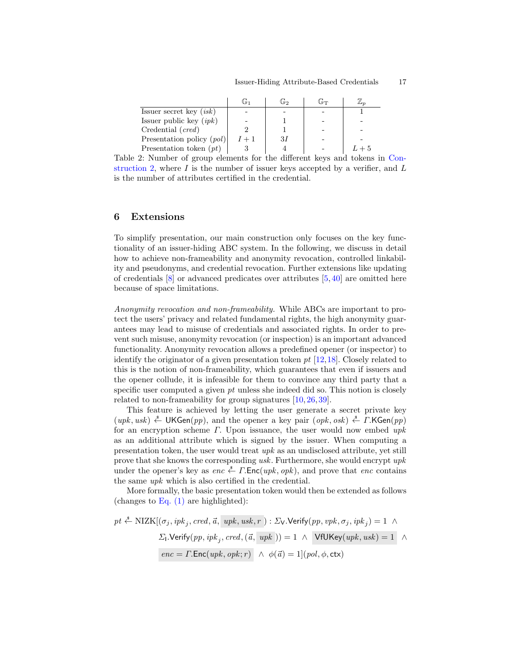<span id="page-16-1"></span>

|                                         | ۱÷۱   | ⊕ັນ | ╙ᡎ╨ |  |
|-----------------------------------------|-------|-----|-----|--|
| Issuer secret key $(isk)$               |       |     |     |  |
| Issuer public key $(ipk)$               |       |     |     |  |
| Credential (cred)                       |       |     |     |  |
| Presentation policy $\left( pol\right)$ | $I+1$ | 3 I |     |  |
| Presentation token $(pt)$               |       |     |     |  |

Table 2: Number of group elements for the different keys and tokens in [Con](#page-14-0)[struction 2,](#page-14-0) where  $I$  is the number of issuer keys accepted by a verifier, and  $L$ is the number of attributes certified in the credential.

# <span id="page-16-0"></span>6 Extensions

To simplify presentation, our main construction only focuses on the key functionality of an issuer-hiding ABC system. In the following, we discuss in detail how to achieve non-frameability and anonymity revocation, controlled linkability and pseudonyms, and credential revocation. Further extensions like updating of credentials [\[8\]](#page-19-3) or advanced predicates over attributes [\[5,](#page-19-13) [40\]](#page-21-9) are omitted here because of space limitations.

Anonymity revocation and non-frameability. While ABCs are important to protect the users' privacy and related fundamental rights, the high anonymity guarantees may lead to misuse of credentials and associated rights. In order to prevent such misuse, anonymity revocation (or inspection) is an important advanced functionality. Anonymity revocation allows a predefined opener (or inspector) to identify the originator of a given presentation token  $pt$  [\[12,](#page-19-14)[18\]](#page-19-1). Closely related to this is the notion of non-frameability, which guarantees that even if issuers and the opener collude, it is infeasible for them to convince any third party that a specific user computed a given  $pt$  unless she indeed did so. This notion is closely related to non-frameability for group signatures [\[10,](#page-19-15) [26,](#page-20-16) [39\]](#page-21-10).

This feature is achieved by letting the user generate a secret private key  $(upk, usk) \stackrel{\text{d}}{\leftarrow} \textsf{UKGen}(pp)$ , and the opener a key pair  $(opk, osk) \stackrel{\text{d}}{\leftarrow} \Gamma$ .KGen $(pp)$ for an encryption scheme  $\Gamma$ . Upon issuance, the user would now embed  $upk$ as an additional attribute which is signed by the issuer. When computing a presentation token, the user would treat upk as an undisclosed attribute, yet still prove that she knows the corresponding usk. Furthermore, she would encrypt upk under the opener's key as enc  $\stackrel{\ast}{\leftarrow} \Gamma$ . Enc(upk, opk), and prove that enc contains the same upk which is also certified in the credential.

More formally, the basic presentation token would then be extended as follows (changes to Eq.  $(1)$  are highlighted):

$$
pt \stackrel{\text{a}}{\leftarrow} \textrm{NIZK}[(\sigma_j, ipk_j, cred, \vec{a}, \underline{upk}, \underline{usk}, r) : \Sigma_{\mathsf{V}}.\mathsf{Verify}(pp, vpk, \sigma_j, ipk_j) = 1 \land \Sigma_{\mathsf{I}}.\mathsf{Verify}(pp, ipk_j, cred, (\vec{a}, \underline{upk})) = 1 \land \mathsf{VfUKey}(upk, usk) = 1 \land \nenc = \Gamma.\mathsf{Enc}(\underline{upk}, opk; r) \land \phi(\vec{a}) = 1](pol, \phi, \mathsf{ctx})
$$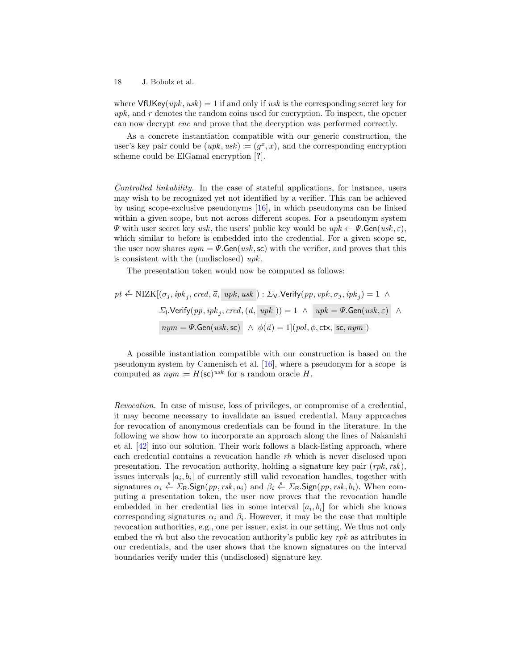where  $VfUKey(wpk, usk) = 1$  if and only if usk is the corresponding secret key for  $upk$ , and r denotes the random coins used for encryption. To inspect, the opener can now decrypt enc and prove that the decryption was performed correctly.

As a concrete instantiation compatible with our generic construction, the user's key pair could be  $(upk, usk) := (g^x, x)$ , and the corresponding encryption scheme could be ElGamal encryption [?].

Controlled linkability. In the case of stateful applications, for instance, users may wish to be recognized yet not identified by a verifier. This can be achieved by using scope-exclusive pseudonyms [\[16\]](#page-19-16), in which pseudonyms can be linked within a given scope, but not across different scopes. For a pseudonym system  $\Psi$  with user secret key usk, the users' public key would be  $upk \leftarrow \Psi$ . Gen(usk,  $\varepsilon$ ), which similar to before is embedded into the credential. For a given scope sc, the user now shares  $nym = \Psi$ . Gen(usk, sc) with the verifier, and proves that this is consistent with the (undisclosed) upk.

The presentation token would now be computed as follows:

$$
pt \stackrel{\text{a}}{\leftarrow} \textrm{NIZK}[(\sigma_j, ipk_j, cred, \vec{a}, \text{ upk}, \text{usk.}) : \Sigma_{\mathsf{V}}.\mathsf{Verify}(pp, vpk, \sigma_j, ipk_j) = 1 \land \Sigma_{\mathsf{I}}.\mathsf{Verify}(pp, ipk_j, cred, (\vec{a}, \text{ upk })) = 1 \land \text{ upk } = \Psi.\mathsf{Gen}(\text{usk}, \varepsilon) \land \n\eta ym = \Psi.\mathsf{Gen}(\text{usk}, \text{sc}) \land \phi(\vec{a}) = 1](pol, \phi, \text{ctx, sc}, \text{rym })
$$

A possible instantiation compatible with our construction is based on the pseudonym system by Camenisch et al. [\[16\]](#page-19-16), where a pseudonym for a scope is computed as  $nym := H(\mathsf{sc})^{usk}$  for a random oracle H.

Revocation. In case of misuse, loss of privileges, or compromise of a credential, it may become necessary to invalidate an issued credential. Many approaches for revocation of anonymous credentials can be found in the literature. In the following we show how to incorporate an approach along the lines of Nakanishi et al. [\[42\]](#page-21-11) into our solution. Their work follows a black-listing approach, where each credential contains a revocation handle rh which is never disclosed upon presentation. The revocation authority, holding a signature key pair  $(rpk, rsk)$ , issues intervals  $[a_i, b_i]$  of currently still valid revocation handles, together with signatures  $\alpha_i \stackrel{\ast}{\leftarrow} \Sigma_R$ .Sign $(pp, rsk, a_i)$  and  $\beta_i \stackrel{\ast}{\leftarrow} \Sigma_R$ .Sign $(pp, rsk, b_i)$ . When computing a presentation token, the user now proves that the revocation handle embedded in her credential lies in some interval  $[a_i, b_i]$  for which she knows corresponding signatures  $\alpha_i$  and  $\beta_i$ . However, it may be the case that multiple revocation authorities, e.g., one per issuer, exist in our setting. We thus not only embed the rh but also the revocation authority's public key rpk as attributes in our credentials, and the user shows that the known signatures on the interval boundaries verify under this (undisclosed) signature key.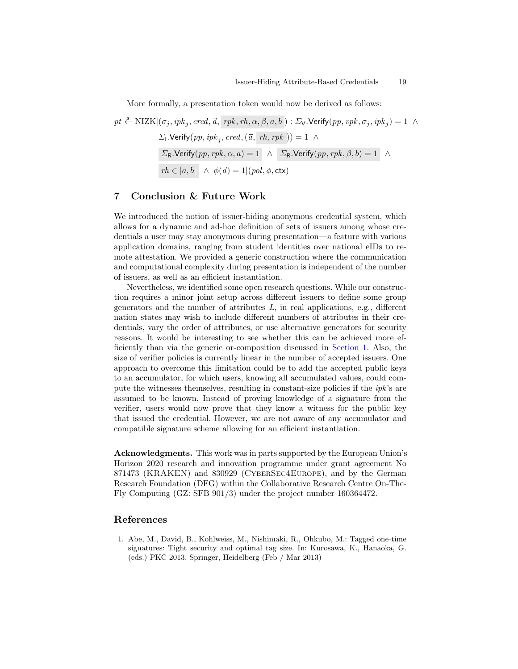More formally, a presentation token would now be derived as follows:

$$
pt \stackrel{\text{\it\#}}{\leftarrow} \textrm{NIZK}[(\sigma_j, ipk_j, cred, \vec{a}, rpk, rh, \alpha, \beta, a, b) : \Sigma_{\mathsf{V}}.\mathsf{Verify}(pp, vpk, \sigma_j, ipk_j) = 1 \ \wedge \ \sum_{\mathsf{R}}.\mathsf{Verify}(pp, ipk_j, cred, (\vec{a}, rh, rpk)) = 1 \ \wedge \ \sum_{\mathsf{R}}.\mathsf{Verify}(pp, rpk, \alpha, a) = 1 \ \wedge \ \sum_{\mathsf{R}}.\mathsf{Verify}(pp, rpk, \beta, b) = 1 \ \wedge \ \mathsf{rh} \in [a, b] \ \wedge \ \phi(\vec{a}) = 1](pol, \phi, \mathsf{ctx})
$$

# <span id="page-18-0"></span>7 Conclusion & Future Work

We introduced the notion of issuer-hiding anonymous credential system, which allows for a dynamic and ad-hoc definition of sets of issuers among whose credentials a user may stay anonymous during presentation—a feature with various application domains, ranging from student identities over national eIDs to remote attestation. We provided a generic construction where the communication and computational complexity during presentation is independent of the number of issuers, as well as an efficient instantiation.

Nevertheless, we identified some open research questions. While our construction requires a minor joint setup across different issuers to define some group generators and the number of attributes  $L$ , in real applications, e.g., different nation states may wish to include different numbers of attributes in their credentials, vary the order of attributes, or use alternative generators for security reasons. It would be interesting to see whether this can be achieved more efficiently than via the generic or-composition discussed in [Section 1.](#page-0-0) Also, the size of verifier policies is currently linear in the number of accepted issuers. One approach to overcome this limitation could be to add the accepted public keys to an accumulator, for which users, knowing all accumulated values, could compute the witnesses themselves, resulting in constant-size policies if the ipk's are assumed to be known. Instead of proving knowledge of a signature from the verifier, users would now prove that they know a witness for the public key that issued the credential. However, we are not aware of any accumulator and compatible signature scheme allowing for an efficient instantiation.

Acknowledgments. This work was in parts supported by the European Union's Horizon 2020 research and innovation programme under grant agreement No 871473 (KRAKEN) and 830929 (CyberSec4Europe), and by the German Research Foundation (DFG) within the Collaborative Research Centre On-The-Fly Computing (GZ: SFB 901/3) under the project number 160364472.

#### References

<span id="page-18-1"></span>1. Abe, M., David, B., Kohlweiss, M., Nishimaki, R., Ohkubo, M.: Tagged one-time signatures: Tight security and optimal tag size. In: Kurosawa, K., Hanaoka, G. (eds.) PKC 2013. Springer, Heidelberg (Feb / Mar 2013)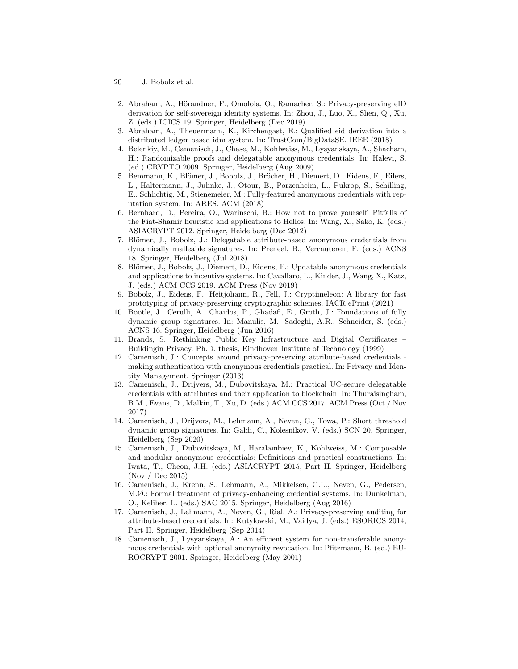- 20 J. Bobolz et al.
- <span id="page-19-9"></span>2. Abraham, A., Hörandner, F., Omolola, O., Ramacher, S.: Privacy-preserving eID derivation for self-sovereign identity systems. In: Zhou, J., Luo, X., Shen, Q., Xu, Z. (eds.) ICICS 19. Springer, Heidelberg (Dec 2019)
- <span id="page-19-10"></span>3. Abraham, A., Theuermann, K., Kirchengast, E.: Qualified eid derivation into a distributed ledger based idm system. In: TrustCom/BigDataSE. IEEE (2018)
- <span id="page-19-7"></span>4. Belenkiy, M., Camenisch, J., Chase, M., Kohlweiss, M., Lysyanskaya, A., Shacham, H.: Randomizable proofs and delegatable anonymous credentials. In: Halevi, S. (ed.) CRYPTO 2009. Springer, Heidelberg (Aug 2009)
- <span id="page-19-13"></span>5. Bemmann, K., Blömer, J., Bobolz, J., Bröcher, H., Diemert, D., Eidens, F., Eilers, L., Haltermann, J., Juhnke, J., Otour, B., Porzenheim, L., Pukrop, S., Schilling, E., Schlichtig, M., Stienemeier, M.: Fully-featured anonymous credentials with reputation system. In: ARES. ACM (2018)
- <span id="page-19-11"></span>6. Bernhard, D., Pereira, O., Warinschi, B.: How not to prove yourself: Pitfalls of the Fiat-Shamir heuristic and applications to Helios. In: Wang, X., Sako, K. (eds.) ASIACRYPT 2012. Springer, Heidelberg (Dec 2012)
- <span id="page-19-2"></span>7. Blömer, J., Bobolz, J.: Delegatable attribute-based anonymous credentials from dynamically malleable signatures. In: Preneel, B., Vercauteren, F. (eds.) ACNS 18. Springer, Heidelberg (Jul 2018)
- <span id="page-19-3"></span>8. Blömer, J., Bobolz, J., Diemert, D., Eidens, F.: Updatable anonymous credentials and applications to incentive systems. In: Cavallaro, L., Kinder, J., Wang, X., Katz, J. (eds.) ACM CCS 2019. ACM Press (Nov 2019)
- <span id="page-19-12"></span>9. Bobolz, J., Eidens, F., Heitjohann, R., Fell, J.: Cryptimeleon: A library for fast prototyping of privacy-preserving cryptographic schemes. IACR ePrint (2021)
- <span id="page-19-15"></span>10. Bootle, J., Cerulli, A., Chaidos, P., Ghadafi, E., Groth, J.: Foundations of fully dynamic group signatures. In: Manulis, M., Sadeghi, A.R., Schneider, S. (eds.) ACNS 16. Springer, Heidelberg (Jun 2016)
- <span id="page-19-0"></span>11. Brands, S.: Rethinking Public Key Infrastructure and Digital Certificates – Buildingin Privacy. Ph.D. thesis, Eindhoven Institute of Technology (1999)
- <span id="page-19-14"></span>12. Camenisch, J.: Concepts around privacy-preserving attribute-based credentials making authentication with anonymous credentials practical. In: Privacy and Identity Management. Springer (2013)
- <span id="page-19-8"></span>13. Camenisch, J., Drijvers, M., Dubovitskaya, M.: Practical UC-secure delegatable credentials with attributes and their application to blockchain. In: Thuraisingham, B.M., Evans, D., Malkin, T., Xu, D. (eds.) ACM CCS 2017. ACM Press (Oct / Nov 2017)
- <span id="page-19-6"></span>14. Camenisch, J., Drijvers, M., Lehmann, A., Neven, G., Towa, P.: Short threshold dynamic group signatures. In: Galdi, C., Kolesnikov, V. (eds.) SCN 20. Springer, Heidelberg (Sep 2020)
- <span id="page-19-4"></span>15. Camenisch, J., Dubovitskaya, M., Haralambiev, K., Kohlweiss, M.: Composable and modular anonymous credentials: Definitions and practical constructions. In: Iwata, T., Cheon, J.H. (eds.) ASIACRYPT 2015, Part II. Springer, Heidelberg (Nov / Dec 2015)
- <span id="page-19-16"></span>16. Camenisch, J., Krenn, S., Lehmann, A., Mikkelsen, G.L., Neven, G., Pedersen, M.Ø.: Formal treatment of privacy-enhancing credential systems. In: Dunkelman, O., Keliher, L. (eds.) SAC 2015. Springer, Heidelberg (Aug 2016)
- <span id="page-19-5"></span>17. Camenisch, J., Lehmann, A., Neven, G., Rial, A.: Privacy-preserving auditing for attribute-based credentials. In: Kutylowski, M., Vaidya, J. (eds.) ESORICS 2014, Part II. Springer, Heidelberg (Sep 2014)
- <span id="page-19-1"></span>18. Camenisch, J., Lysyanskaya, A.: An efficient system for non-transferable anonymous credentials with optional anonymity revocation. In: Pfitzmann, B. (ed.) EU-ROCRYPT 2001. Springer, Heidelberg (May 2001)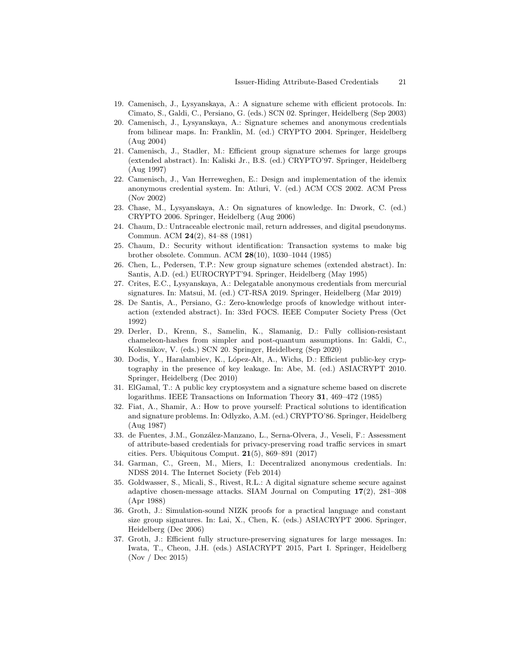- 19. Camenisch, J., Lysyanskaya, A.: A signature scheme with efficient protocols. In: Cimato, S., Galdi, C., Persiano, G. (eds.) SCN 02. Springer, Heidelberg (Sep 2003)
- <span id="page-20-2"></span>20. Camenisch, J., Lysyanskaya, A.: Signature schemes and anonymous credentials from bilinear maps. In: Franklin, M. (ed.) CRYPTO 2004. Springer, Heidelberg (Aug 2004)
- <span id="page-20-14"></span>21. Camenisch, J., Stadler, M.: Efficient group signature schemes for large groups (extended abstract). In: Kaliski Jr., B.S. (ed.) CRYPTO'97. Springer, Heidelberg (Aug 1997)
- <span id="page-20-3"></span>22. Camenisch, J., Van Herreweghen, E.: Design and implementation of the idemix anonymous credential system. In: Atluri, V. (ed.) ACM CCS 2002. ACM Press (Nov 2002)
- <span id="page-20-7"></span>23. Chase, M., Lysyanskaya, A.: On signatures of knowledge. In: Dwork, C. (ed.) CRYPTO 2006. Springer, Heidelberg (Aug 2006)
- <span id="page-20-0"></span>24. Chaum, D.: Untraceable electronic mail, return addresses, and digital pseudonyms. Commun. ACM 24(2), 84–88 (1981)
- <span id="page-20-1"></span>25. Chaum, D.: Security without identification: Transaction systems to make big brother obsolete. Commun. ACM 28(10), 1030–1044 (1985)
- <span id="page-20-16"></span>26. Chen, L., Pedersen, T.P.: New group signature schemes (extended abstract). In: Santis, A.D. (ed.) EUROCRYPT'94. Springer, Heidelberg (May 1995)
- <span id="page-20-4"></span>27. Crites, E.C., Lysyanskaya, A.: Delegatable anonymous credentials from mercurial signatures. In: Matsui, M. (ed.) CT-RSA 2019. Springer, Heidelberg (Mar 2019)
- <span id="page-20-11"></span>28. De Santis, A., Persiano, G.: Zero-knowledge proofs of knowledge without interaction (extended abstract). In: 33rd FOCS. IEEE Computer Society Press (Oct 1992)
- <span id="page-20-12"></span>29. Derler, D., Krenn, S., Samelin, K., Slamanig, D.: Fully collision-resistant chameleon-hashes from simpler and post-quantum assumptions. In: Galdi, C., Kolesnikov, V. (eds.) SCN 20. Springer, Heidelberg (Sep 2020)
- <span id="page-20-13"></span>30. Dodis, Y., Haralambiev, K., López-Alt, A., Wichs, D.: Efficient public-key cryptography in the presence of key leakage. In: Abe, M. (ed.) ASIACRYPT 2010. Springer, Heidelberg (Dec 2010)
- 31. ElGamal, T.: A public key cryptosystem and a signature scheme based on discrete logarithms. IEEE Transactions on Information Theory 31, 469–472 (1985)
- <span id="page-20-15"></span>32. Fiat, A., Shamir, A.: How to prove yourself: Practical solutions to identification and signature problems. In: Odlyzko, A.M. (ed.) CRYPTO'86. Springer, Heidelberg (Aug 1987)
- <span id="page-20-5"></span>33. de Fuentes, J.M., Gonz´alez-Manzano, L., Serna-Olvera, J., Veseli, F.: Assessment of attribute-based credentials for privacy-preserving road traffic services in smart cities. Pers. Ubiquitous Comput. 21(5), 869–891 (2017)
- <span id="page-20-6"></span>34. Garman, C., Green, M., Miers, I.: Decentralized anonymous credentials. In: NDSS 2014. The Internet Society (Feb 2014)
- <span id="page-20-9"></span>35. Goldwasser, S., Micali, S., Rivest, R.L.: A digital signature scheme secure against adaptive chosen-message attacks. SIAM Journal on Computing 17(2), 281–308 (Apr 1988)
- <span id="page-20-10"></span>36. Groth, J.: Simulation-sound NIZK proofs for a practical language and constant size group signatures. In: Lai, X., Chen, K. (eds.) ASIACRYPT 2006. Springer, Heidelberg (Dec 2006)
- <span id="page-20-8"></span>37. Groth, J.: Efficient fully structure-preserving signatures for large messages. In: Iwata, T., Cheon, J.H. (eds.) ASIACRYPT 2015, Part I. Springer, Heidelberg (Nov / Dec 2015)